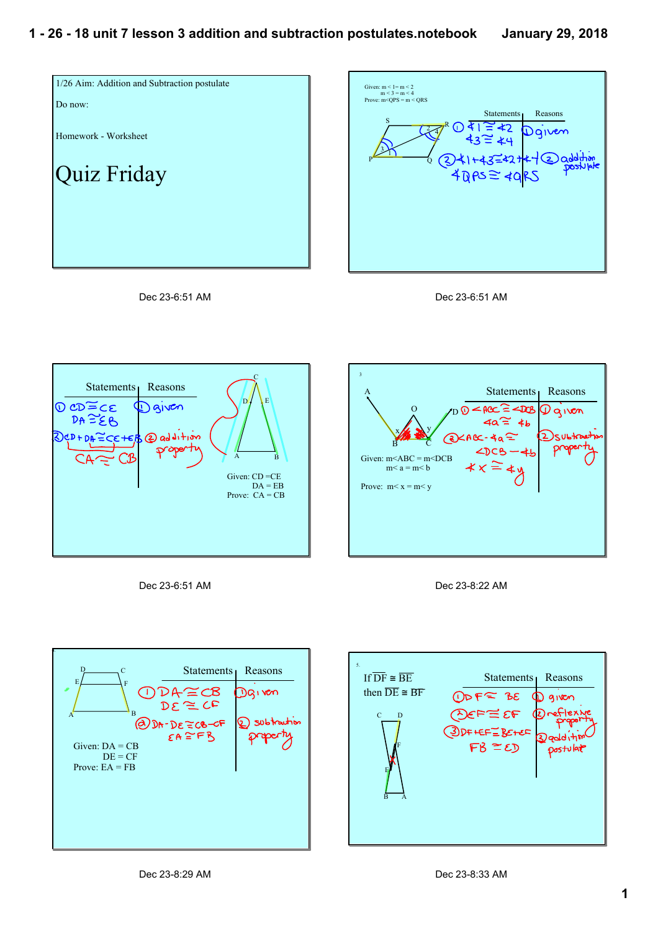









Dec 23-6:51 AM







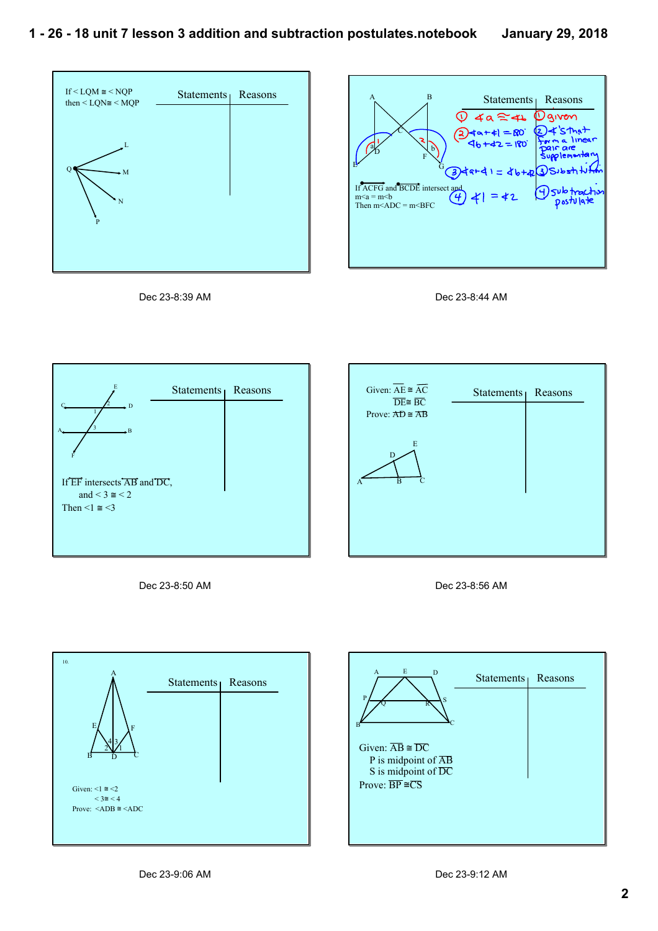











Dec 23-8:50 AM





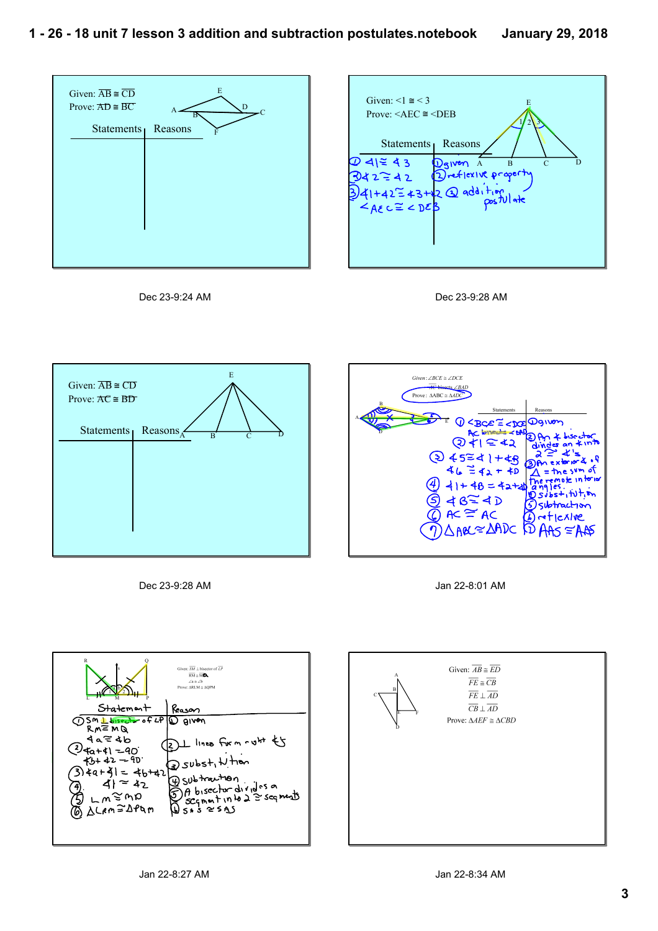









Dec 23-9:28 AM



Jan 22-8:01 AM



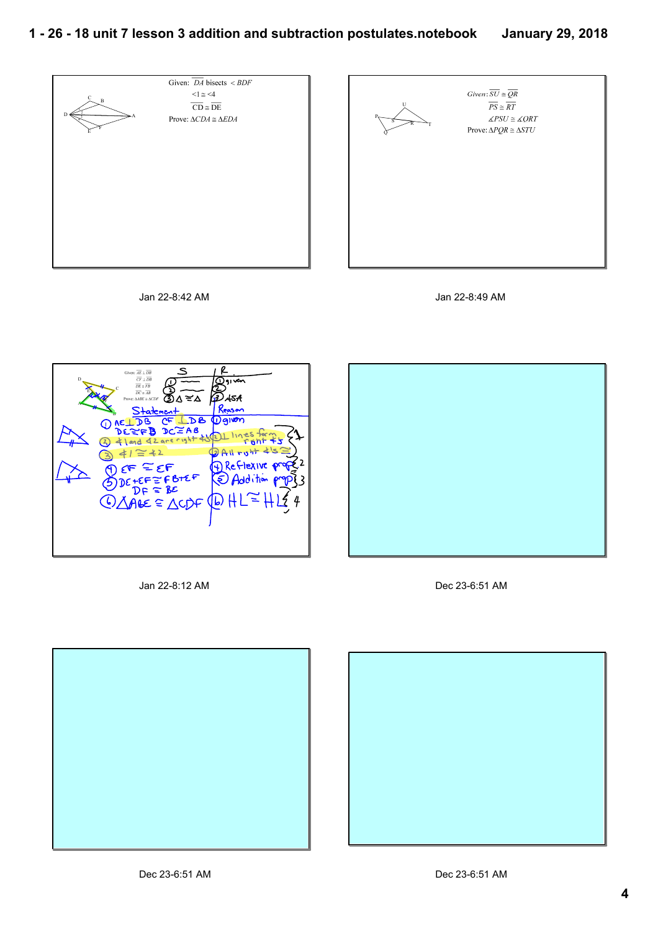## **1 26 18 unit 7 lesson 3 addition and subtraction postulates.notebook January 29, 2018**



Jan 22-8:42 AM

Jan 22-8:49 AM

 $\overline{PS} \cong \overline{RT}$ 

 $\angle PSU \cong \angle ORT$ 



Jan 22-8:12 AM



Dec 23-6:51 AM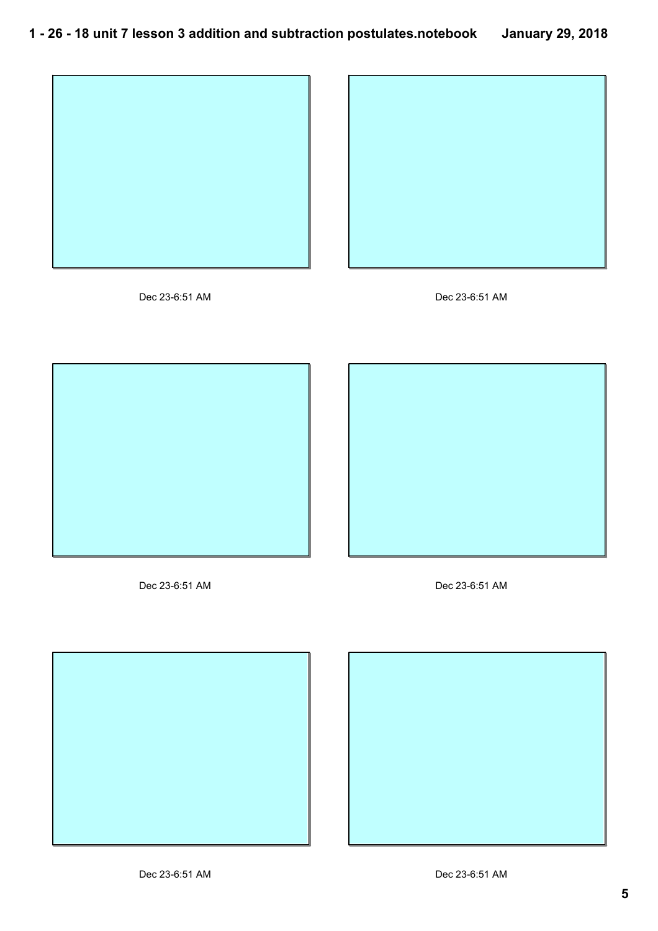









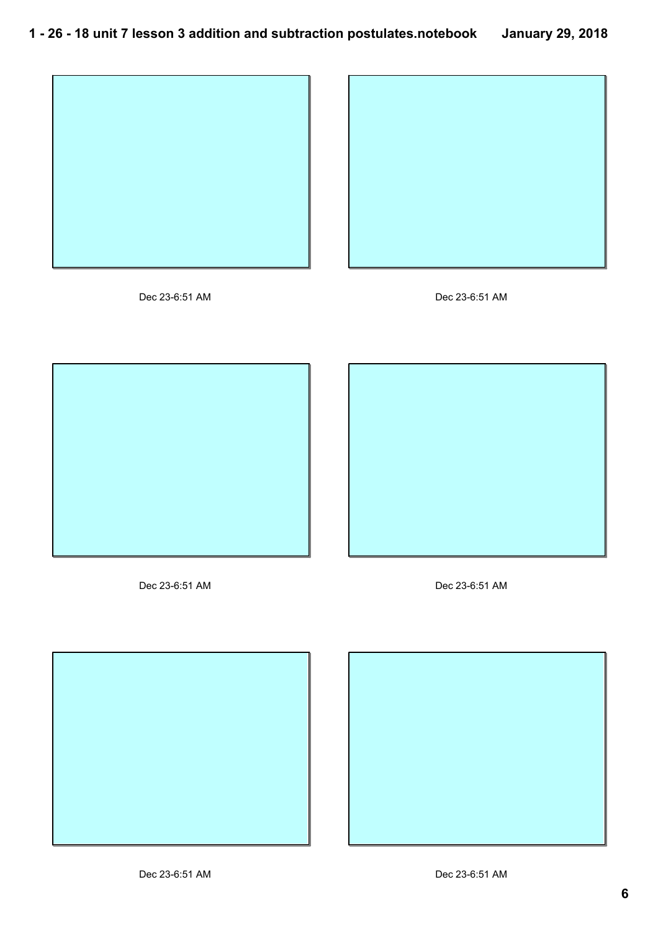









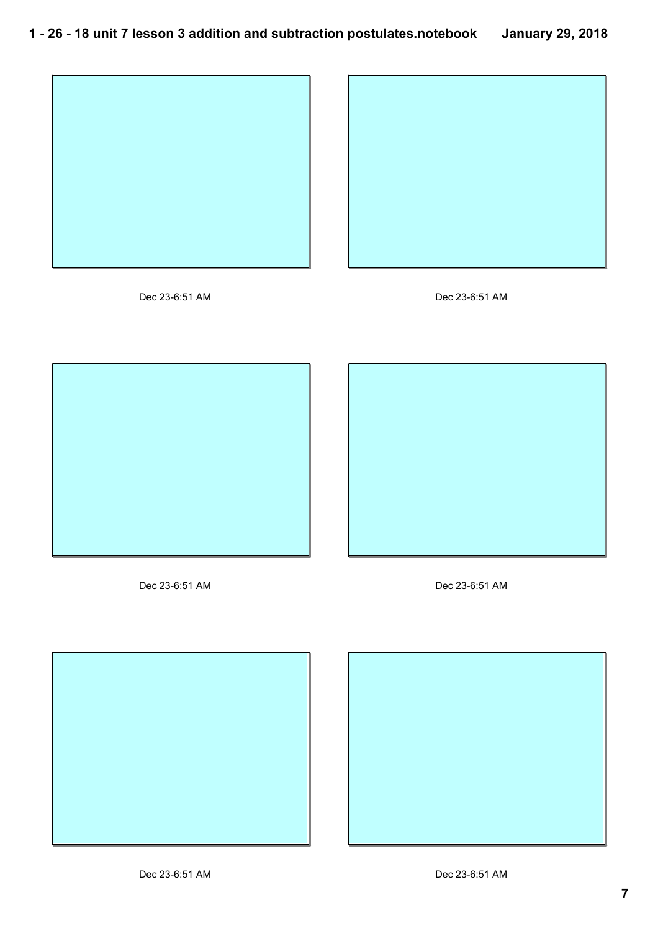









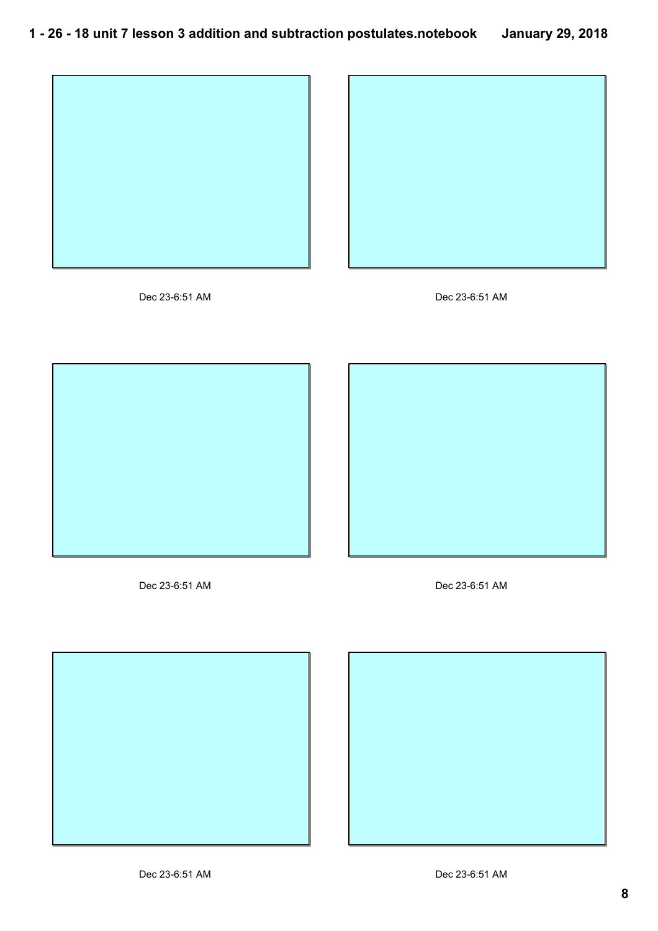